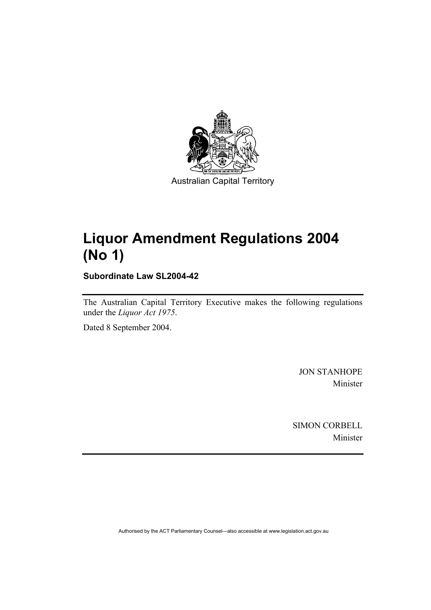

# **Liquor Amendment Regulations 2004 (No 1)**

**Subordinate Law SL2004-42** 

The Australian Capital Territory Executive makes the following regulations under the *Liquor Act 1975*.

Dated 8 September 2004.

JON STANHOPE Minister

SIMON CORBELL Minister

Authorised by the ACT Parliamentary Counsel—also accessible at www.legislation.act.gov.au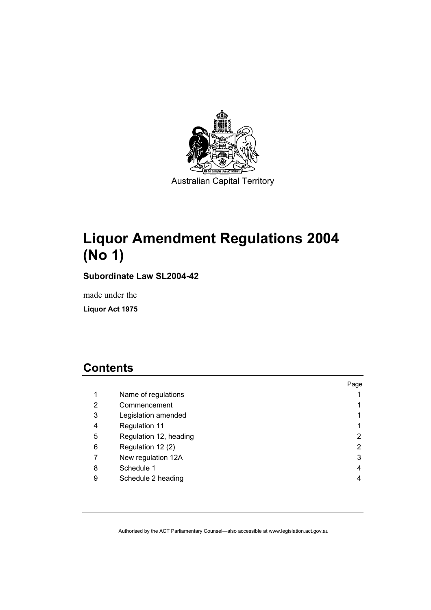

# **Liquor Amendment Regulations 2004 (No 1)**

**Subordinate Law SL2004-42** 

made under the

**Liquor Act 1975** 

# **Contents**

|   |                        | Page |
|---|------------------------|------|
| 1 | Name of regulations    |      |
| 2 | Commencement           |      |
| 3 | Legislation amended    |      |
| 4 | Regulation 11          |      |
| 5 | Regulation 12, heading | 2    |
| 6 | Regulation 12 (2)      | 2    |
|   | New regulation 12A     | 3    |
| 8 | Schedule 1             | 4    |
| 9 | Schedule 2 heading     |      |
|   |                        |      |

Authorised by the ACT Parliamentary Counsel—also accessible at www.legislation.act.gov.au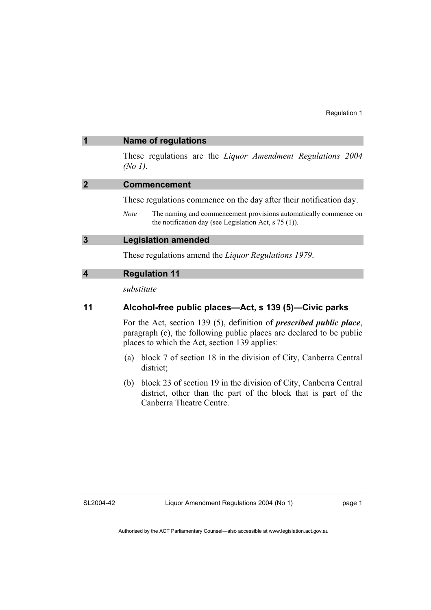| $\overline{\mathbf{1}}$ | <b>Name of regulations</b>                                                                                                                 |  |
|-------------------------|--------------------------------------------------------------------------------------------------------------------------------------------|--|
|                         | These regulations are the <i>Liquor Amendment Regulations 2004</i><br>(No 1).                                                              |  |
| $\overline{2}$          | <b>Commencement</b>                                                                                                                        |  |
|                         | These regulations commence on the day after their notification day.                                                                        |  |
|                         | The naming and commencement provisions automatically commence on<br><i>Note</i><br>the notification day (see Legislation Act, $s$ 75 (1)). |  |
| $\overline{3}$          | <b>Legislation amended</b>                                                                                                                 |  |
|                         | These regulations amend the <i>Liquor Regulations 1979</i> .                                                                               |  |
| $\overline{\mathbf{4}}$ | <b>Regulation 11</b>                                                                                                                       |  |
|                         | substitute                                                                                                                                 |  |

### **11 Alcohol-free public places—Act, s 139 (5)—Civic parks**

For the Act, section 139 (5), definition of *prescribed public place*, paragraph (c), the following public places are declared to be public places to which the Act, section 139 applies:

- (a) block 7 of section 18 in the division of City, Canberra Central district;
- (b) block 23 of section 19 in the division of City, Canberra Central district, other than the part of the block that is part of the Canberra Theatre Centre.

SL2004-42

page 1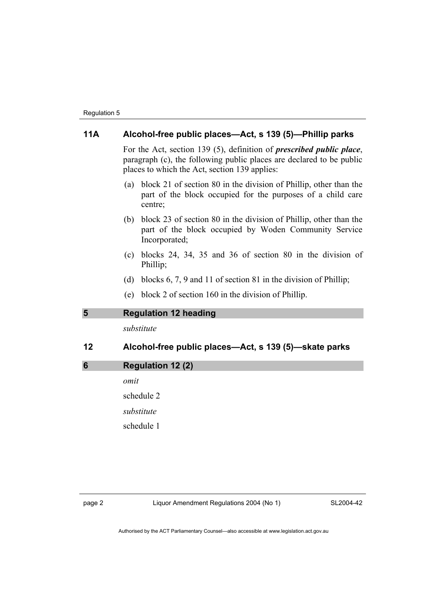### **11A Alcohol-free public places—Act, s 139 (5)—Phillip parks**

For the Act, section 139 (5), definition of *prescribed public place*, paragraph (c), the following public places are declared to be public places to which the Act, section 139 applies:

- (a) block 21 of section 80 in the division of Phillip, other than the part of the block occupied for the purposes of a child care centre;
- (b) block 23 of section 80 in the division of Phillip, other than the part of the block occupied by Woden Community Service Incorporated;
- (c) blocks 24, 34, 35 and 36 of section 80 in the division of Phillip;
- (d) blocks 6, 7, 9 and 11 of section 81 in the division of Phillip;
- (e) block 2 of section 160 in the division of Phillip.

### **5 Regulation 12 heading**

*substitute* 

# **12 Alcohol-free public places—Act, s 139 (5)—skate parks**

**6 Regulation 12 (2)**  *omit*  schedule 2 *substitute*  schedule 1

page 2 Liquor Amendment Regulations 2004 (No 1)

SL2004-42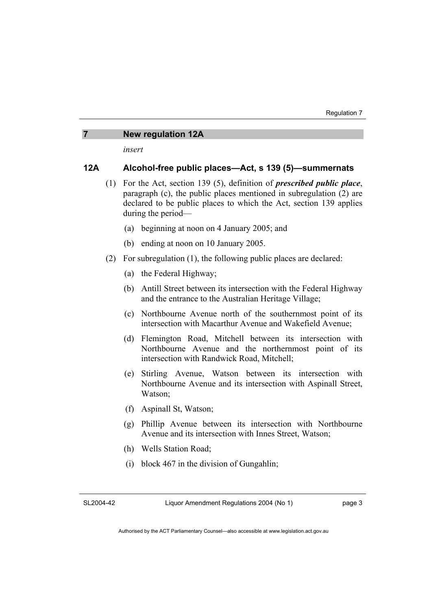#### **7 New regulation 12A**

*insert* 

### **12A Alcohol-free public places—Act, s 139 (5)—summernats**

- (1) For the Act, section 139 (5), definition of *prescribed public place*, paragraph (c), the public places mentioned in subregulation (2) are declared to be public places to which the Act, section 139 applies during the period—
	- (a) beginning at noon on 4 January 2005; and
	- (b) ending at noon on 10 January 2005.
- (2) For subregulation (1), the following public places are declared:
	- (a) the Federal Highway;
	- (b) Antill Street between its intersection with the Federal Highway and the entrance to the Australian Heritage Village;
	- (c) Northbourne Avenue north of the southernmost point of its intersection with Macarthur Avenue and Wakefield Avenue;
	- (d) Flemington Road, Mitchell between its intersection with Northbourne Avenue and the northernmost point of its intersection with Randwick Road, Mitchell;
	- (e) Stirling Avenue, Watson between its intersection with Northbourne Avenue and its intersection with Aspinall Street, Watson;
	- (f) Aspinall St, Watson;
	- (g) Phillip Avenue between its intersection with Northbourne Avenue and its intersection with Innes Street, Watson;
	- (h) Wells Station Road;
	- (i) block 467 in the division of Gungahlin;

SL2004-42

Liquor Amendment Regulations 2004 (No 1)

page 3